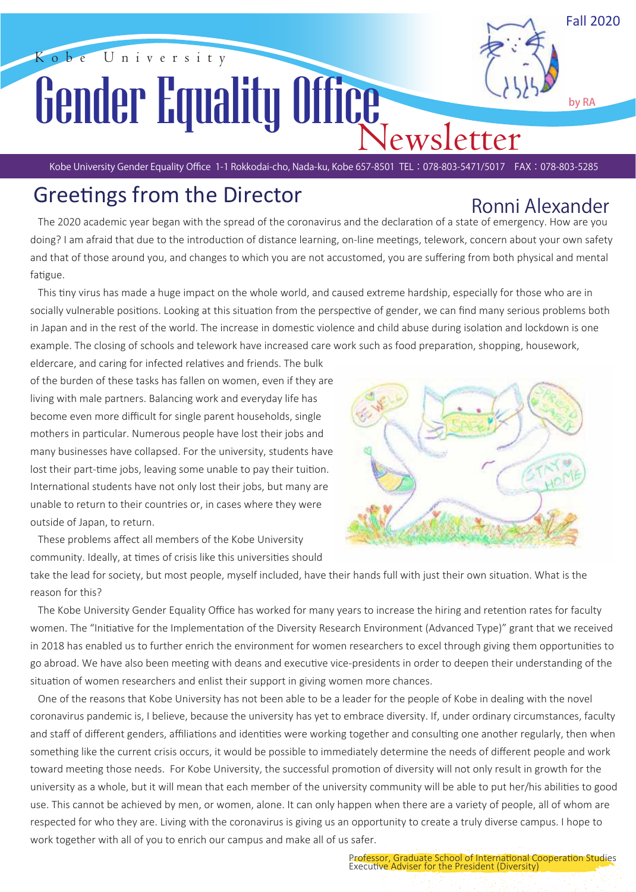Fall 2020

by RA

# obe University Gender Equality Office

Kobe University Gender Equality Office 1-1 Rokkodai-cho, Nada-ku, Kobe 657-8501 TEL:078-803-5471/5017 FAX:078-803-5285

## Greetings from the Director

## Ronni Alexander

The 2020 academic year began with the spread of the coronavirus and the declaration of a state of emergency. How are you doing? I am afraid that due to the introduction of distance learning, on-line meetings, telework, concern about your own safety and that of those around you, and changes to which you are not accustomed, you are suffering from both physical and mental fatigue.

This tiny virus has made a huge impact on the whole world, and caused extreme hardship, especially for those who are in socially vulnerable positions. Looking at this situation from the perspective of gender, we can find many serious problems both in Japan and in the rest of the world. The increase in domestic violence and child abuse during isolation and lockdown is one example. The closing of schools and telework have increased care work such as food preparation, shopping, housework,

 of the burden of these tasks has fallen on women, even if they are eldercare, and caring for infected relatives and friends. The bulk living with male partners. Balancing work and everyday life has become even more difficult for single parent households, single mothers in particular. Numerous people have lost their jobs and many businesses have collapsed. For the university, students have lost their part-time jobs, leaving some unable to pay their tuition. International students have not only lost their jobs, but many are unable to return to their countries or, in cases where they were outside of Japan, to return.

 These problems affect all members of the Kobe University community. Ideally, at times of crisis like this universities should



take the lead for society, but most people, myself included, have their hands full with just their own situation. What is the reason for this?

The Kobe University Gender Equality Office has worked for many years to increase the hiring and retention rates for faculty women. The "Initiative for the Implementation of the Diversity Research Environment (Advanced Type)" grant that we received in 2018 has enabled us to further enrich the environment for women researchers to excel through giving them opportuni�es to go abroad. We have also been meeting with deans and executive vice-presidents in order to deepen their understanding of the situation of women researchers and enlist their support in giving women more chances.

 One of the reasons that Kobe University has not been able to be a leader for the people of Kobe in dealing with the novel coronavirus pandemic is, I believe, because the university has yet to embrace diversity. If, under ordinary circumstances, faculty and staff of different genders, affiliations and identities were working together and consulting one another regularly, then when something like the current crisis occurs, it would be possible to immediately determine the needs of different people and work toward meeting those needs. For Kobe University, the successful promotion of diversity will not only result in growth for the university as a whole, but it will mean that each member of the university community will be able to put her/his abilities to good use. This cannot be achieved by men, or women, alone. It can only happen when there are a variety of people, all of whom are respected for who they are. Living with the coronavirus is giving us an opportunity to create a truly diverse campus. I hope to work together with all of you to enrich our campus and make all of us safer.